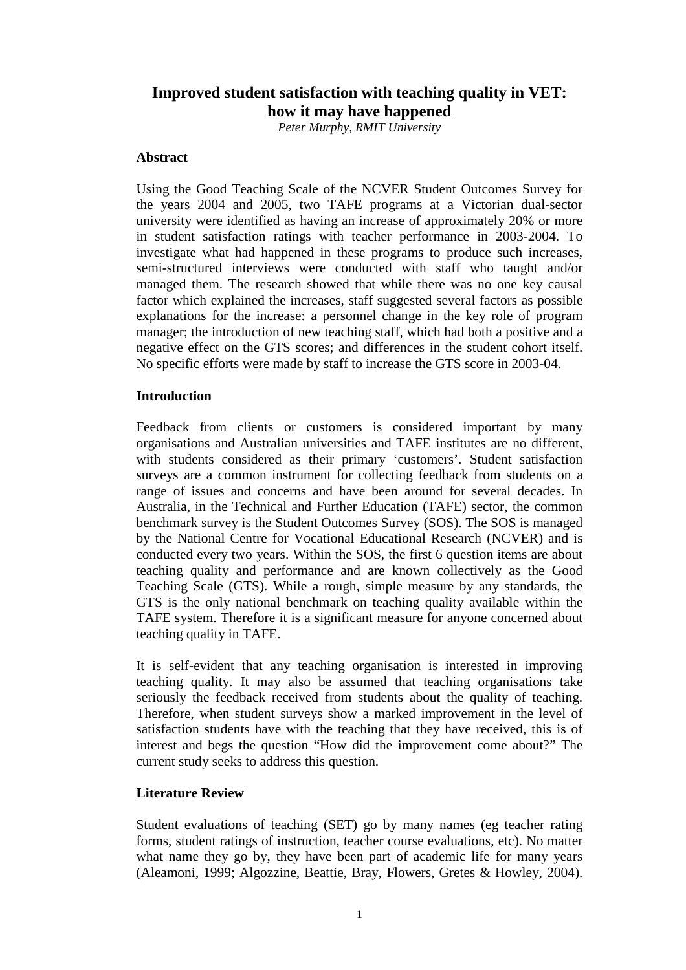# **Improved student satisfaction with teaching quality in VET: how it may have happened**

*Peter Murphy, RMIT University* 

## **Abstract**

Using the Good Teaching Scale of the NCVER Student Outcomes Survey for the years 2004 and 2005, two TAFE programs at a Victorian dual-sector university were identified as having an increase of approximately 20% or more in student satisfaction ratings with teacher performance in 2003-2004. To investigate what had happened in these programs to produce such increases, semi-structured interviews were conducted with staff who taught and/or managed them. The research showed that while there was no one key causal factor which explained the increases, staff suggested several factors as possible explanations for the increase: a personnel change in the key role of program manager; the introduction of new teaching staff, which had both a positive and a negative effect on the GTS scores; and differences in the student cohort itself. No specific efforts were made by staff to increase the GTS score in 2003-04.

## **Introduction**

Feedback from clients or customers is considered important by many organisations and Australian universities and TAFE institutes are no different, with students considered as their primary 'customers'. Student satisfaction surveys are a common instrument for collecting feedback from students on a range of issues and concerns and have been around for several decades. In Australia, in the Technical and Further Education (TAFE) sector, the common benchmark survey is the Student Outcomes Survey (SOS). The SOS is managed by the National Centre for Vocational Educational Research (NCVER) and is conducted every two years. Within the SOS, the first 6 question items are about teaching quality and performance and are known collectively as the Good Teaching Scale (GTS). While a rough, simple measure by any standards, the GTS is the only national benchmark on teaching quality available within the TAFE system. Therefore it is a significant measure for anyone concerned about teaching quality in TAFE.

It is self-evident that any teaching organisation is interested in improving teaching quality. It may also be assumed that teaching organisations take seriously the feedback received from students about the quality of teaching. Therefore, when student surveys show a marked improvement in the level of satisfaction students have with the teaching that they have received, this is of interest and begs the question "How did the improvement come about?" The current study seeks to address this question.

## **Literature Review**

Student evaluations of teaching (SET) go by many names (eg teacher rating forms, student ratings of instruction, teacher course evaluations, etc). No matter what name they go by, they have been part of academic life for many years (Aleamoni, 1999; Algozzine, Beattie, Bray, Flowers, Gretes & Howley, 2004).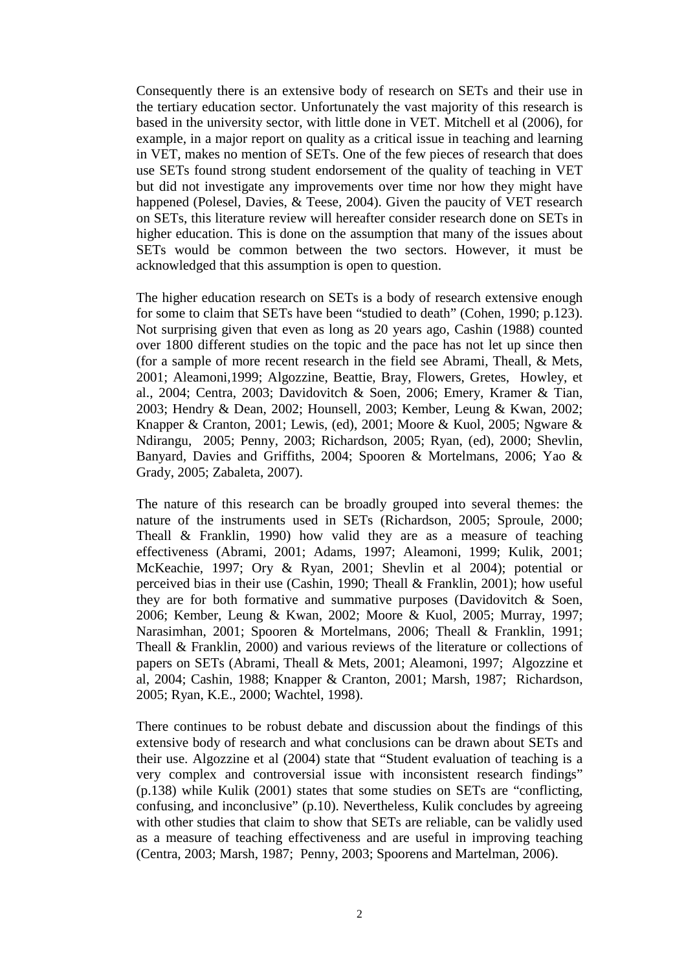Consequently there is an extensive body of research on SETs and their use in the tertiary education sector. Unfortunately the vast majority of this research is based in the university sector, with little done in VET. Mitchell et al (2006), for example, in a major report on quality as a critical issue in teaching and learning in VET, makes no mention of SETs. One of the few pieces of research that does use SETs found strong student endorsement of the quality of teaching in VET but did not investigate any improvements over time nor how they might have happened (Polesel, Davies, & Teese*,* 2004). Given the paucity of VET research on SETs, this literature review will hereafter consider research done on SETs in higher education. This is done on the assumption that many of the issues about SETs would be common between the two sectors. However, it must be acknowledged that this assumption is open to question.

The higher education research on SETs is a body of research extensive enough for some to claim that SETs have been "studied to death" (Cohen, 1990; p.123). Not surprising given that even as long as 20 years ago, Cashin (1988) counted over 1800 different studies on the topic and the pace has not let up since then (for a sample of more recent research in the field see Abrami, Theall, & Mets, 2001; Aleamoni,1999; Algozzine, Beattie, Bray, Flowers, Gretes, Howley, et al., 2004; Centra, 2003; Davidovitch & Soen, 2006; Emery, Kramer & Tian, 2003; Hendry & Dean, 2002; Hounsell, 2003; Kember, Leung & Kwan, 2002; Knapper & Cranton, 2001; Lewis, (ed), 2001; Moore & Kuol, 2005; Ngware & Ndirangu, 2005; Penny, 2003; Richardson, 2005; Ryan, (ed), 2000; Shevlin, Banyard, Davies and Griffiths, 2004; Spooren & Mortelmans, 2006; Yao & Grady, 2005; Zabaleta, 2007).

The nature of this research can be broadly grouped into several themes: the nature of the instruments used in SETs (Richardson, 2005; Sproule, 2000; Theall & Franklin, 1990) how valid they are as a measure of teaching effectiveness (Abrami, 2001; Adams, 1997; Aleamoni, 1999; Kulik, 2001; McKeachie, 1997; Ory & Ryan, 2001; Shevlin et al 2004); potential or perceived bias in their use (Cashin, 1990; Theall & Franklin, 2001); how useful they are for both formative and summative purposes (Davidovitch & Soen, 2006; Kember, Leung & Kwan, 2002; Moore & Kuol, 2005; Murray, 1997; Narasimhan, 2001; Spooren & Mortelmans, 2006; Theall & Franklin, 1991; Theall & Franklin, 2000) and various reviews of the literature or collections of papers on SETs (Abrami, Theall & Mets, 2001; Aleamoni, 1997; Algozzine et al, 2004; Cashin, 1988; Knapper & Cranton, 2001; Marsh, 1987; Richardson, 2005; Ryan, K.E., 2000; Wachtel, 1998).

There continues to be robust debate and discussion about the findings of this extensive body of research and what conclusions can be drawn about SETs and their use. Algozzine et al (2004) state that "Student evaluation of teaching is a very complex and controversial issue with inconsistent research findings" (p.138) while Kulik (2001) states that some studies on SETs are "conflicting, confusing, and inconclusive" (p.10). Nevertheless, Kulik concludes by agreeing with other studies that claim to show that SETs are reliable, can be validly used as a measure of teaching effectiveness and are useful in improving teaching (Centra, 2003; Marsh, 1987; Penny, 2003; Spoorens and Martelman, 2006).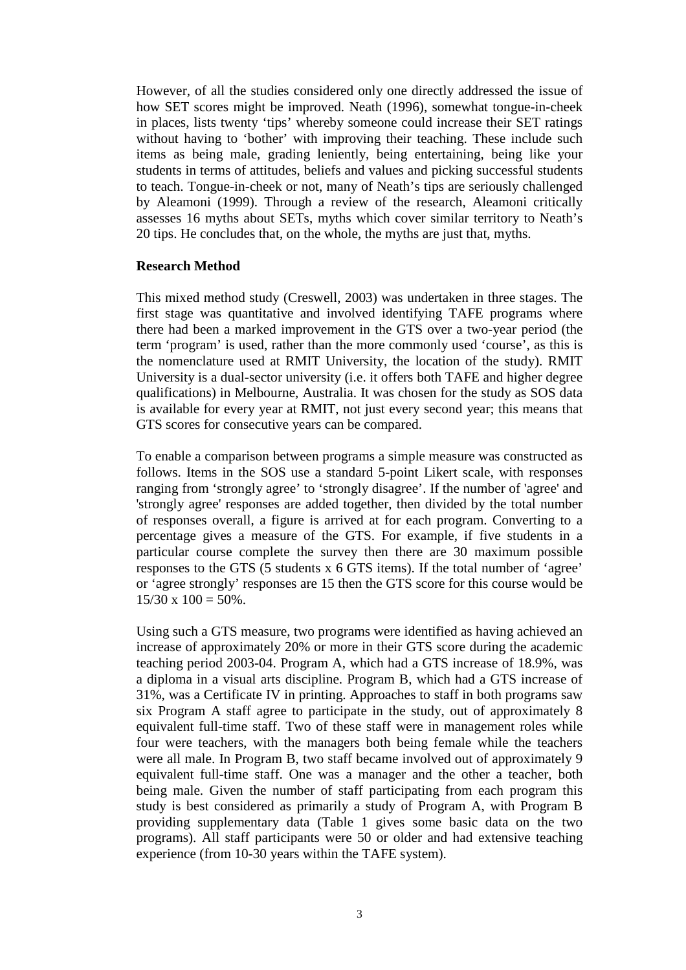However, of all the studies considered only one directly addressed the issue of how SET scores might be improved. Neath (1996), somewhat tongue-in-cheek in places, lists twenty 'tips' whereby someone could increase their SET ratings without having to 'bother' with improving their teaching. These include such items as being male, grading leniently, being entertaining, being like your students in terms of attitudes, beliefs and values and picking successful students to teach. Tongue-in-cheek or not, many of Neath's tips are seriously challenged by Aleamoni (1999). Through a review of the research, Aleamoni critically assesses 16 myths about SETs, myths which cover similar territory to Neath's 20 tips. He concludes that, on the whole, the myths are just that, myths.

## **Research Method**

This mixed method study (Creswell, 2003) was undertaken in three stages. The first stage was quantitative and involved identifying TAFE programs where there had been a marked improvement in the GTS over a two-year period (the term 'program' is used, rather than the more commonly used 'course', as this is the nomenclature used at RMIT University, the location of the study). RMIT University is a dual-sector university (i.e. it offers both TAFE and higher degree qualifications) in Melbourne, Australia. It was chosen for the study as SOS data is available for every year at RMIT, not just every second year; this means that GTS scores for consecutive years can be compared.

To enable a comparison between programs a simple measure was constructed as follows. Items in the SOS use a standard 5-point Likert scale, with responses ranging from 'strongly agree' to 'strongly disagree'. If the number of 'agree' and 'strongly agree' responses are added together, then divided by the total number of responses overall, a figure is arrived at for each program. Converting to a percentage gives a measure of the GTS. For example, if five students in a particular course complete the survey then there are 30 maximum possible responses to the GTS (5 students x 6 GTS items). If the total number of 'agree' or 'agree strongly' responses are 15 then the GTS score for this course would be  $15/30 \times 100 = 50\%$ .

Using such a GTS measure, two programs were identified as having achieved an increase of approximately 20% or more in their GTS score during the academic teaching period 2003-04. Program A, which had a GTS increase of 18.9%, was a diploma in a visual arts discipline. Program B, which had a GTS increase of 31%, was a Certificate IV in printing. Approaches to staff in both programs saw six Program A staff agree to participate in the study, out of approximately 8 equivalent full-time staff. Two of these staff were in management roles while four were teachers, with the managers both being female while the teachers were all male. In Program B, two staff became involved out of approximately 9 equivalent full-time staff. One was a manager and the other a teacher, both being male. Given the number of staff participating from each program this study is best considered as primarily a study of Program A, with Program B providing supplementary data (Table 1 gives some basic data on the two programs). All staff participants were 50 or older and had extensive teaching experience (from 10-30 years within the TAFE system).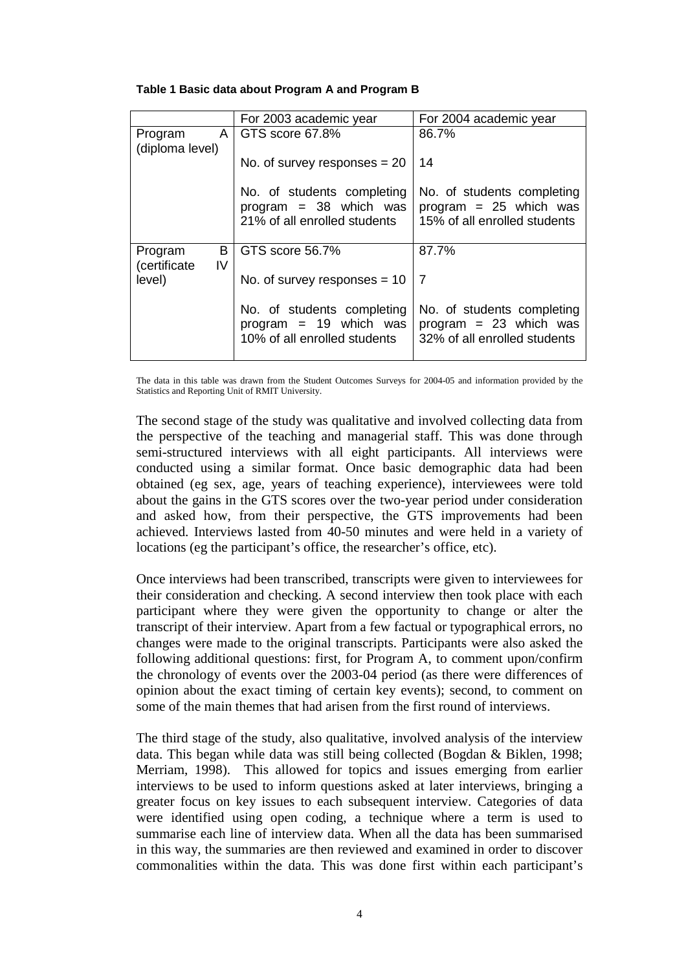|  |  |  | Table 1 Basic data about Program A and Program B |
|--|--|--|--------------------------------------------------|
|--|--|--|--------------------------------------------------|

|                                     | For 2003 academic year                                                                 | For 2004 academic year                                                                 |
|-------------------------------------|----------------------------------------------------------------------------------------|----------------------------------------------------------------------------------------|
| $\mathsf{A}$<br>Program             | GTS score 67.8%                                                                        | 86.7%                                                                                  |
| (diploma level)                     |                                                                                        |                                                                                        |
|                                     | No. of survey responses $= 20$                                                         | 14                                                                                     |
|                                     | No. of students completing<br>program $=$ 38 which was<br>21% of all enrolled students | No. of students completing<br>program = $25$ which was<br>15% of all enrolled students |
| B<br>Program<br>(certificate)<br>IV | GTS score 56.7%                                                                        | 87.7%                                                                                  |
| level)                              | No. of survey responses $= 10$                                                         | 7                                                                                      |
|                                     | No. of students completing<br>program $= 19$ which was<br>10% of all enrolled students | No. of students completing<br>program $= 23$ which was<br>32% of all enrolled students |

The data in this table was drawn from the Student Outcomes Surveys for 2004-05 and information provided by the Statistics and Reporting Unit of RMIT University.

The second stage of the study was qualitative and involved collecting data from the perspective of the teaching and managerial staff. This was done through semi-structured interviews with all eight participants. All interviews were conducted using a similar format. Once basic demographic data had been obtained (eg sex, age, years of teaching experience), interviewees were told about the gains in the GTS scores over the two-year period under consideration and asked how, from their perspective, the GTS improvements had been achieved. Interviews lasted from 40-50 minutes and were held in a variety of locations (eg the participant's office, the researcher's office, etc).

Once interviews had been transcribed, transcripts were given to interviewees for their consideration and checking. A second interview then took place with each participant where they were given the opportunity to change or alter the transcript of their interview. Apart from a few factual or typographical errors, no changes were made to the original transcripts. Participants were also asked the following additional questions: first, for Program A, to comment upon/confirm the chronology of events over the 2003-04 period (as there were differences of opinion about the exact timing of certain key events); second, to comment on some of the main themes that had arisen from the first round of interviews.

The third stage of the study, also qualitative, involved analysis of the interview data. This began while data was still being collected (Bogdan & Biklen, 1998; Merriam, 1998). This allowed for topics and issues emerging from earlier interviews to be used to inform questions asked at later interviews, bringing a greater focus on key issues to each subsequent interview. Categories of data were identified using open coding, a technique where a term is used to summarise each line of interview data. When all the data has been summarised in this way, the summaries are then reviewed and examined in order to discover commonalities within the data. This was done first within each participant's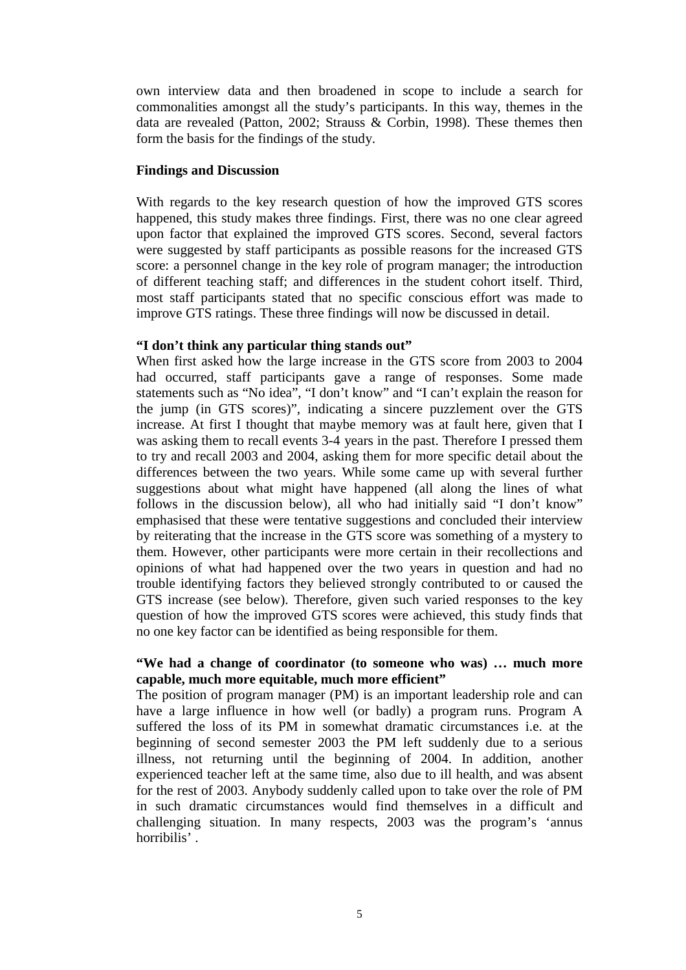own interview data and then broadened in scope to include a search for commonalities amongst all the study's participants. In this way, themes in the data are revealed (Patton, 2002; Strauss & Corbin, 1998). These themes then form the basis for the findings of the study.

## **Findings and Discussion**

With regards to the key research question of how the improved GTS scores happened, this study makes three findings. First, there was no one clear agreed upon factor that explained the improved GTS scores. Second, several factors were suggested by staff participants as possible reasons for the increased GTS score: a personnel change in the key role of program manager; the introduction of different teaching staff; and differences in the student cohort itself. Third, most staff participants stated that no specific conscious effort was made to improve GTS ratings. These three findings will now be discussed in detail.

## **"I don't think any particular thing stands out"**

When first asked how the large increase in the GTS score from 2003 to 2004 had occurred, staff participants gave a range of responses. Some made statements such as "No idea", "I don't know" and "I can't explain the reason for the jump (in GTS scores)", indicating a sincere puzzlement over the GTS increase. At first I thought that maybe memory was at fault here, given that I was asking them to recall events 3-4 years in the past. Therefore I pressed them to try and recall 2003 and 2004, asking them for more specific detail about the differences between the two years. While some came up with several further suggestions about what might have happened (all along the lines of what follows in the discussion below), all who had initially said "I don't know" emphasised that these were tentative suggestions and concluded their interview by reiterating that the increase in the GTS score was something of a mystery to them. However, other participants were more certain in their recollections and opinions of what had happened over the two years in question and had no trouble identifying factors they believed strongly contributed to or caused the GTS increase (see below). Therefore, given such varied responses to the key question of how the improved GTS scores were achieved, this study finds that no one key factor can be identified as being responsible for them.

## **"We had a change of coordinator (to someone who was) … much more capable, much more equitable, much more efficient"**

The position of program manager (PM) is an important leadership role and can have a large influence in how well (or badly) a program runs. Program A suffered the loss of its PM in somewhat dramatic circumstances i.e. at the beginning of second semester 2003 the PM left suddenly due to a serious illness, not returning until the beginning of 2004. In addition, another experienced teacher left at the same time, also due to ill health, and was absent for the rest of 2003. Anybody suddenly called upon to take over the role of PM in such dramatic circumstances would find themselves in a difficult and challenging situation. In many respects, 2003 was the program's 'annus horribilis' .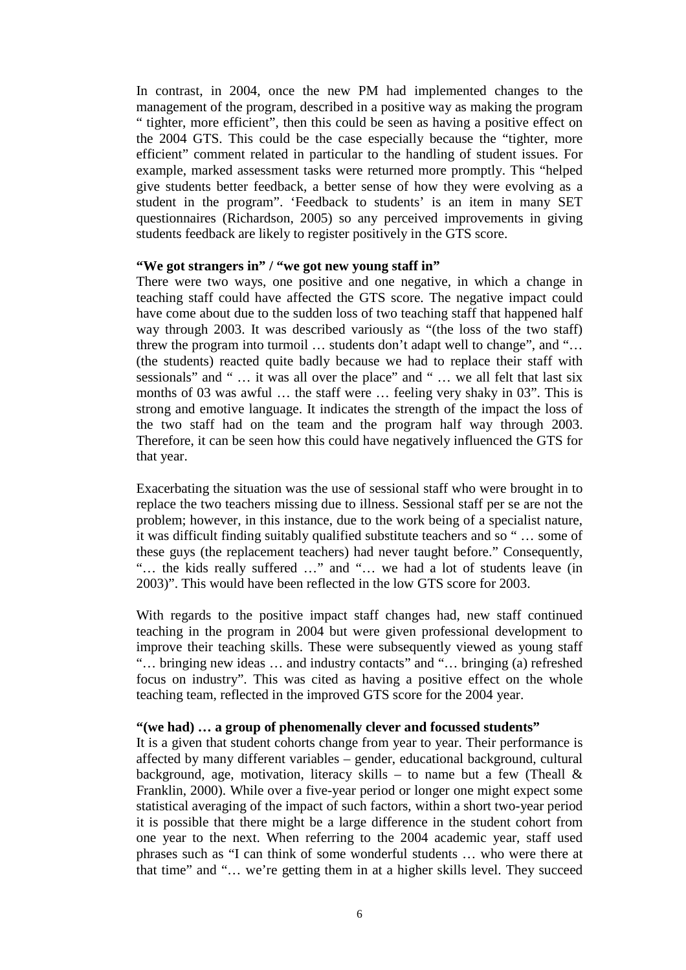In contrast, in 2004, once the new PM had implemented changes to the management of the program, described in a positive way as making the program " tighter, more efficient", then this could be seen as having a positive effect on the 2004 GTS. This could be the case especially because the "tighter, more efficient" comment related in particular to the handling of student issues. For example, marked assessment tasks were returned more promptly. This "helped give students better feedback, a better sense of how they were evolving as a student in the program". 'Feedback to students' is an item in many SET questionnaires (Richardson, 2005) so any perceived improvements in giving students feedback are likely to register positively in the GTS score.

### **"We got strangers in" / "we got new young staff in"**

There were two ways, one positive and one negative, in which a change in teaching staff could have affected the GTS score. The negative impact could have come about due to the sudden loss of two teaching staff that happened half way through 2003. It was described variously as "(the loss of the two staff) threw the program into turmoil … students don't adapt well to change", and "… (the students) reacted quite badly because we had to replace their staff with sessionals" and " … it was all over the place" and " … we all felt that last six months of 03 was awful … the staff were … feeling very shaky in 03". This is strong and emotive language. It indicates the strength of the impact the loss of the two staff had on the team and the program half way through 2003. Therefore, it can be seen how this could have negatively influenced the GTS for that year.

Exacerbating the situation was the use of sessional staff who were brought in to replace the two teachers missing due to illness. Sessional staff per se are not the problem; however, in this instance, due to the work being of a specialist nature, it was difficult finding suitably qualified substitute teachers and so " … some of these guys (the replacement teachers) had never taught before." Consequently, "… the kids really suffered …" and "… we had a lot of students leave (in 2003)". This would have been reflected in the low GTS score for 2003.

With regards to the positive impact staff changes had, new staff continued teaching in the program in 2004 but were given professional development to improve their teaching skills. These were subsequently viewed as young staff "… bringing new ideas … and industry contacts" and "… bringing (a) refreshed focus on industry". This was cited as having a positive effect on the whole teaching team, reflected in the improved GTS score for the 2004 year.

### **"(we had) … a group of phenomenally clever and focussed students"**

It is a given that student cohorts change from year to year. Their performance is affected by many different variables – gender, educational background, cultural background, age, motivation, literacy skills – to name but a few (Theall  $\&$ Franklin, 2000). While over a five-year period or longer one might expect some statistical averaging of the impact of such factors, within a short two-year period it is possible that there might be a large difference in the student cohort from one year to the next. When referring to the 2004 academic year, staff used phrases such as "I can think of some wonderful students … who were there at that time" and "… we're getting them in at a higher skills level. They succeed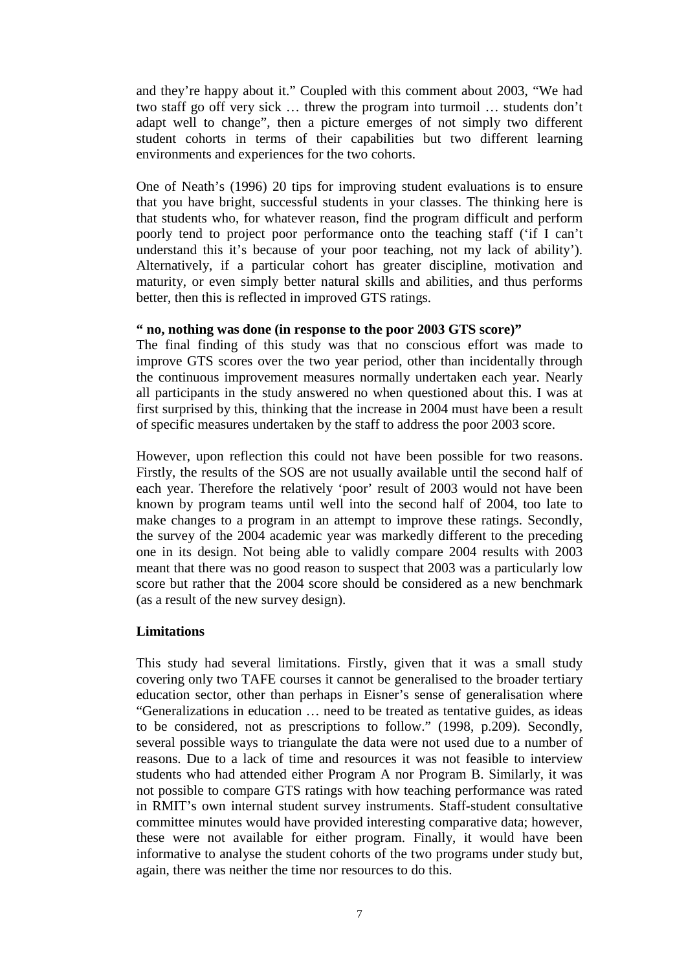and they're happy about it." Coupled with this comment about 2003, "We had two staff go off very sick … threw the program into turmoil … students don't adapt well to change", then a picture emerges of not simply two different student cohorts in terms of their capabilities but two different learning environments and experiences for the two cohorts.

One of Neath's (1996) 20 tips for improving student evaluations is to ensure that you have bright, successful students in your classes. The thinking here is that students who, for whatever reason, find the program difficult and perform poorly tend to project poor performance onto the teaching staff ('if I can't understand this it's because of your poor teaching, not my lack of ability'). Alternatively, if a particular cohort has greater discipline, motivation and maturity, or even simply better natural skills and abilities, and thus performs better, then this is reflected in improved GTS ratings.

## **" no, nothing was done (in response to the poor 2003 GTS score)"**

The final finding of this study was that no conscious effort was made to improve GTS scores over the two year period, other than incidentally through the continuous improvement measures normally undertaken each year. Nearly all participants in the study answered no when questioned about this. I was at first surprised by this, thinking that the increase in 2004 must have been a result of specific measures undertaken by the staff to address the poor 2003 score.

However, upon reflection this could not have been possible for two reasons. Firstly, the results of the SOS are not usually available until the second half of each year. Therefore the relatively 'poor' result of 2003 would not have been known by program teams until well into the second half of 2004, too late to make changes to a program in an attempt to improve these ratings. Secondly, the survey of the 2004 academic year was markedly different to the preceding one in its design. Not being able to validly compare 2004 results with 2003 meant that there was no good reason to suspect that 2003 was a particularly low score but rather that the 2004 score should be considered as a new benchmark (as a result of the new survey design).

## **Limitations**

This study had several limitations. Firstly, given that it was a small study covering only two TAFE courses it cannot be generalised to the broader tertiary education sector, other than perhaps in Eisner's sense of generalisation where "Generalizations in education … need to be treated as tentative guides, as ideas to be considered, not as prescriptions to follow." (1998, p.209). Secondly, several possible ways to triangulate the data were not used due to a number of reasons. Due to a lack of time and resources it was not feasible to interview students who had attended either Program A nor Program B. Similarly, it was not possible to compare GTS ratings with how teaching performance was rated in RMIT's own internal student survey instruments. Staff-student consultative committee minutes would have provided interesting comparative data; however, these were not available for either program. Finally, it would have been informative to analyse the student cohorts of the two programs under study but, again, there was neither the time nor resources to do this.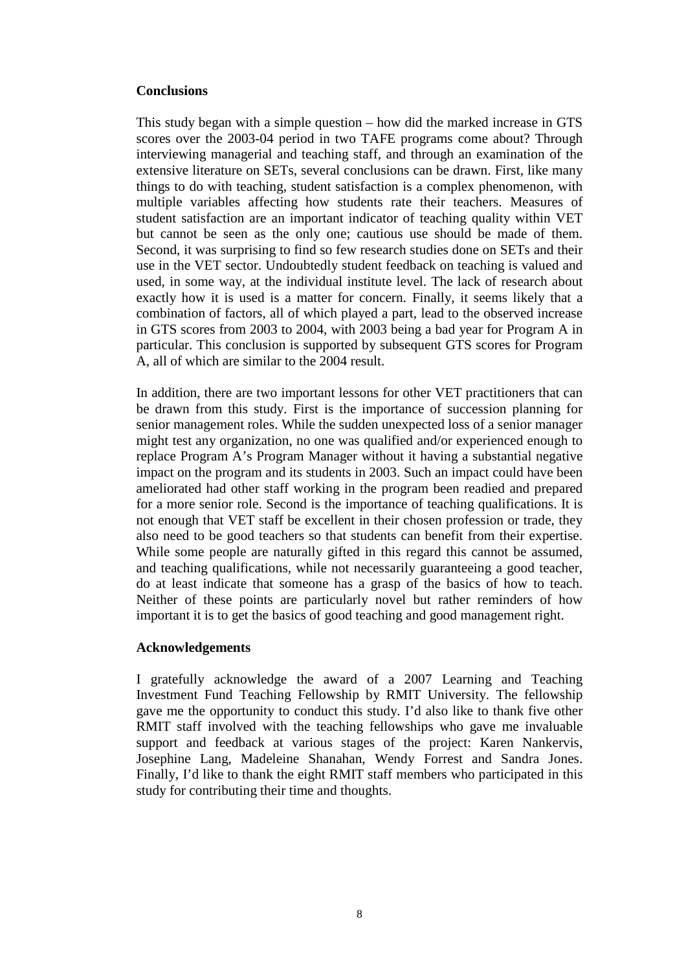## **Conclusions**

This study began with a simple question – how did the marked increase in GTS scores over the 2003-04 period in two TAFE programs come about? Through interviewing managerial and teaching staff, and through an examination of the extensive literature on SETs, several conclusions can be drawn. First, like many things to do with teaching, student satisfaction is a complex phenomenon, with multiple variables affecting how students rate their teachers. Measures of student satisfaction are an important indicator of teaching quality within VET but cannot be seen as the only one; cautious use should be made of them. Second, it was surprising to find so few research studies done on SETs and their use in the VET sector. Undoubtedly student feedback on teaching is valued and used, in some way, at the individual institute level. The lack of research about exactly how it is used is a matter for concern. Finally, it seems likely that a combination of factors, all of which played a part, lead to the observed increase in GTS scores from 2003 to 2004, with 2003 being a bad year for Program A in particular. This conclusion is supported by subsequent GTS scores for Program A, all of which are similar to the 2004 result.

In addition, there are two important lessons for other VET practitioners that can be drawn from this study. First is the importance of succession planning for senior management roles. While the sudden unexpected loss of a senior manager might test any organization, no one was qualified and/or experienced enough to replace Program A's Program Manager without it having a substantial negative impact on the program and its students in 2003. Such an impact could have been ameliorated had other staff working in the program been readied and prepared for a more senior role. Second is the importance of teaching qualifications. It is not enough that VET staff be excellent in their chosen profession or trade, they also need to be good teachers so that students can benefit from their expertise. While some people are naturally gifted in this regard this cannot be assumed, and teaching qualifications, while not necessarily guaranteeing a good teacher, do at least indicate that someone has a grasp of the basics of how to teach. Neither of these points are particularly novel but rather reminders of how important it is to get the basics of good teaching and good management right.

## **Acknowledgements**

I gratefully acknowledge the award of a 2007 Learning and Teaching Investment Fund Teaching Fellowship by RMIT University. The fellowship gave me the opportunity to conduct this study. I'd also like to thank five other RMIT staff involved with the teaching fellowships who gave me invaluable support and feedback at various stages of the project: Karen Nankervis, Josephine Lang, Madeleine Shanahan, Wendy Forrest and Sandra Jones. Finally, I'd like to thank the eight RMIT staff members who participated in this study for contributing their time and thoughts.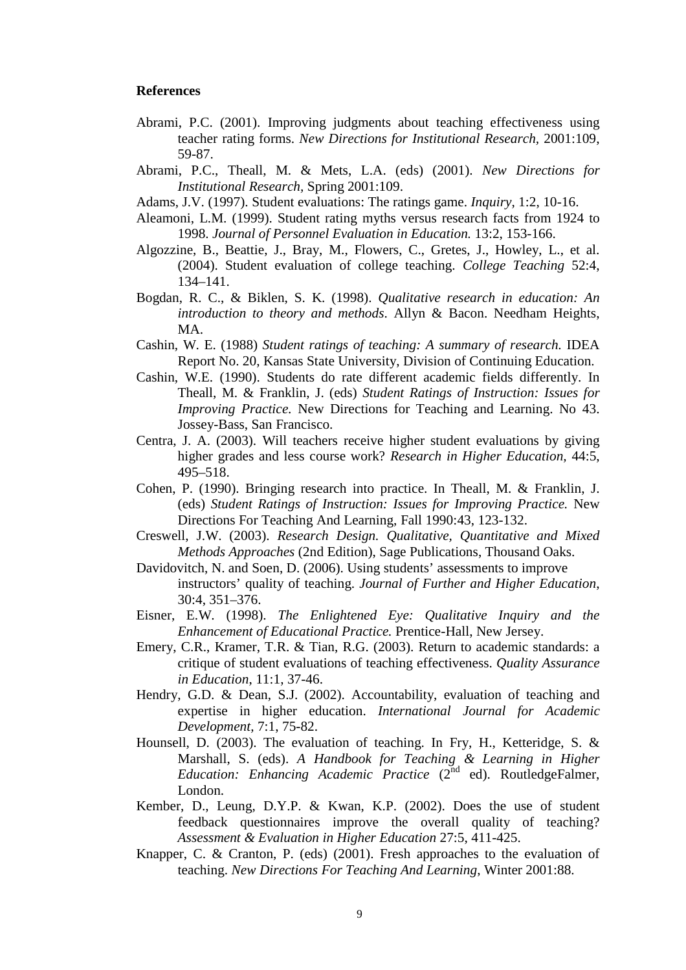#### **References**

- Abrami, P.C. (2001). Improving judgments about teaching effectiveness using teacher rating forms. *New Directions for Institutional Research,* 2001:109, 59-87.
- Abrami, P.C., Theall, M. & Mets, L.A. (eds) (2001). *New Directions for Institutional Research,* Spring 2001:109.
- Adams, J.V. (1997). Student evaluations: The ratings game. *Inquiry*, 1:2, 10-16.
- Aleamoni, L.M. (1999). Student rating myths versus research facts from 1924 to 1998. *Journal of Personnel Evaluation in Education.* 13:2, 153-166.
- Algozzine, B., Beattie, J., Bray, M., Flowers, C., Gretes, J., Howley, L., et al. (2004). Student evaluation of college teaching. *College Teaching* 52:4, 134–141.
- Bogdan, R. C., & Biklen, S. K. (1998). *Qualitative research in education: An introduction to theory and methods*. Allyn & Bacon. Needham Heights, MA.
- Cashin, W. E. (1988) *Student ratings of teaching: A summary of research.* IDEA Report No. 20, Kansas State University, Division of Continuing Education.
- Cashin, W.E. (1990). Students do rate different academic fields differently. In Theall, M. & Franklin, J. (eds) *Student Ratings of Instruction: Issues for Improving Practice.* New Directions for Teaching and Learning. No 43. Jossey-Bass, San Francisco.
- Centra, J. A. (2003). Will teachers receive higher student evaluations by giving higher grades and less course work? *Research in Higher Education,* 44:5, 495–518.
- Cohen, P. (1990). Bringing research into practice. In Theall, M. & Franklin, J. (eds) *Student Ratings of Instruction: Issues for Improving Practice.* New Directions For Teaching And Learning, Fall 1990:43, 123-132.
- Creswell, J.W. (2003). *Research Design. Qualitative, Quantitative and Mixed Methods Approaches* (2nd Edition), Sage Publications, Thousand Oaks.
- Davidovitch, N. and Soen, D. (2006). Using students' assessments to improve instructors' quality of teaching. *Journal of Further and Higher Education*, 30:4, 351–376.
- Eisner, E.W. (1998). *The Enlightened Eye: Qualitative Inquiry and the Enhancement of Educational Practice.* Prentice-Hall, New Jersey.
- Emery, C.R., Kramer, T.R. & Tian, R.G. (2003). Return to academic standards: a critique of student evaluations of teaching effectiveness. *Quality Assurance in Education*, 11:1, 37-46.
- Hendry, G.D. & Dean, S.J. (2002). Accountability, evaluation of teaching and expertise in higher education. *International Journal for Academic Development,* 7:1, 75-82.
- Hounsell, D. (2003). The evaluation of teaching. In Fry, H., Ketteridge, S. & Marshall, S. (eds). *A Handbook for Teaching & Learning in Higher Education: Enhancing Academic Practice* (2<sup>nd</sup> ed). RoutledgeFalmer, London.
- Kember, D., Leung, D.Y.P. & Kwan, K.P. (2002). Does the use of student feedback questionnaires improve the overall quality of teaching? *Assessment & Evaluation in Higher Education* 27:5, 411-425.
- Knapper, C. & Cranton, P. (eds) (2001). Fresh approaches to the evaluation of teaching. *New Directions For Teaching And Learning*, Winter 2001:88.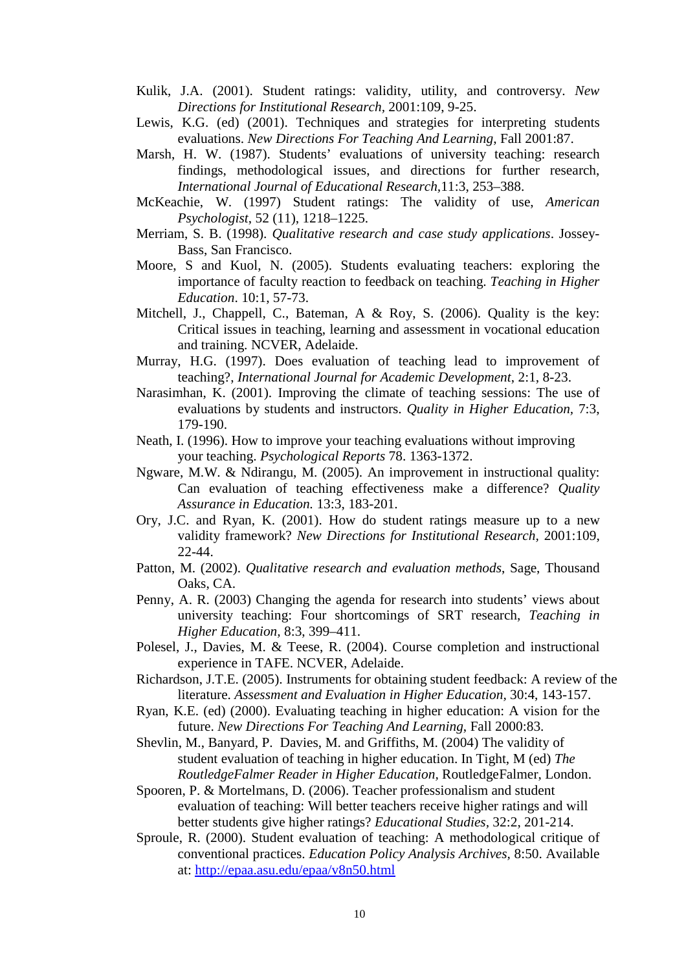- Kulik, J.A. (2001). Student ratings: validity, utility, and controversy. *New Directions for Institutional Research,* 2001:109, 9-25.
- Lewis, K.G. (ed) (2001). Techniques and strategies for interpreting students evaluations. *New Directions For Teaching And Learning*, Fall 2001:87.
- Marsh, H. W. (1987). Students' evaluations of university teaching: research findings, methodological issues, and directions for further research, *International Journal of Educational Research,*11:3, 253–388.
- McKeachie, W. (1997) Student ratings: The validity of use, *American Psychologist*, 52 (11), 1218–1225.
- Merriam, S. B. (1998). *Qualitative research and case study applications*. Jossey-Bass, San Francisco.
- Moore, S and Kuol, N. (2005). Students evaluating teachers: exploring the importance of faculty reaction to feedback on teaching. *Teaching in Higher Education*. 10:1, 57-73.
- Mitchell, J., Chappell, C., Bateman, A & Roy, S. (2006). Quality is the key: Critical issues in teaching, learning and assessment in vocational education and training. NCVER, Adelaide.
- Murray, H.G. (1997). Does evaluation of teaching lead to improvement of teaching?, *International Journal for Academic Development*, 2:1, 8-23.
- Narasimhan, K. (2001). Improving the climate of teaching sessions: The use of evaluations by students and instructors. *Quality in Higher Education,* 7:3, 179-190.
- Neath, I. (1996). How to improve your teaching evaluations without improving your teaching. *Psychological Reports* 78. 1363-1372.
- Ngware, M.W. & Ndirangu, M. (2005). An improvement in instructional quality: Can evaluation of teaching effectiveness make a difference? *Quality Assurance in Education.* 13:3, 183-201.
- Ory, J.C. and Ryan, K. (2001). How do student ratings measure up to a new validity framework? *New Directions for Institutional Research,* 2001:109, 22-44.
- Patton, M. (2002). *Qualitative research and evaluation methods*, Sage, Thousand Oaks, CA.
- Penny, A. R. (2003) Changing the agenda for research into students' views about university teaching: Four shortcomings of SRT research, *Teaching in Higher Education,* 8:3, 399–411.
- Polesel, J., Davies, M. & Teese, R. (2004). Course completion and instructional experience in TAFE. NCVER, Adelaide.
- Richardson, J.T.E. (2005). Instruments for obtaining student feedback: A review of the literature. *Assessment and Evaluation in Higher Education,* 30:4, 143-157.
- Ryan, K.E. (ed) (2000). Evaluating teaching in higher education: A vision for the future. *New Directions For Teaching And Learning*, Fall 2000:83.
- Shevlin, M., Banyard, P. Davies, M. and Griffiths, M. (2004) The validity of student evaluation of teaching in higher education. In Tight, M (ed) *The RoutledgeFalmer Reader in Higher Education,* RoutledgeFalmer, London.
- Spooren, P. & Mortelmans, D. (2006). Teacher professionalism and student evaluation of teaching: Will better teachers receive higher ratings and will better students give higher ratings? *Educational Studies,* 32:2, 201-214.
- Sproule, R. (2000). Student evaluation of teaching: A methodological critique of conventional practices. *Education Policy Analysis Archives,* 8:50. Available at: http://epaa.asu.edu/epaa/v8n50.html